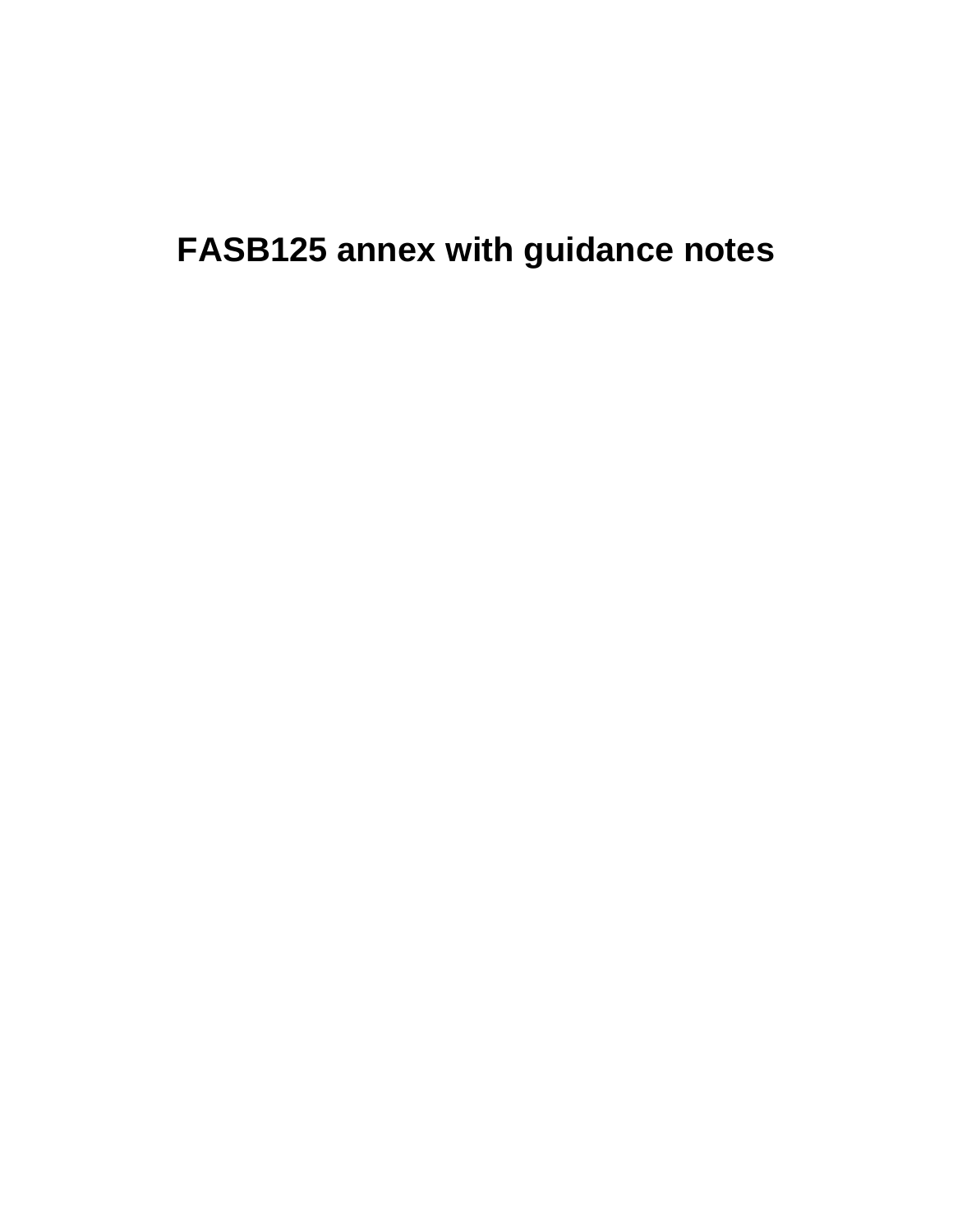**FASB125 annex with guidance notes**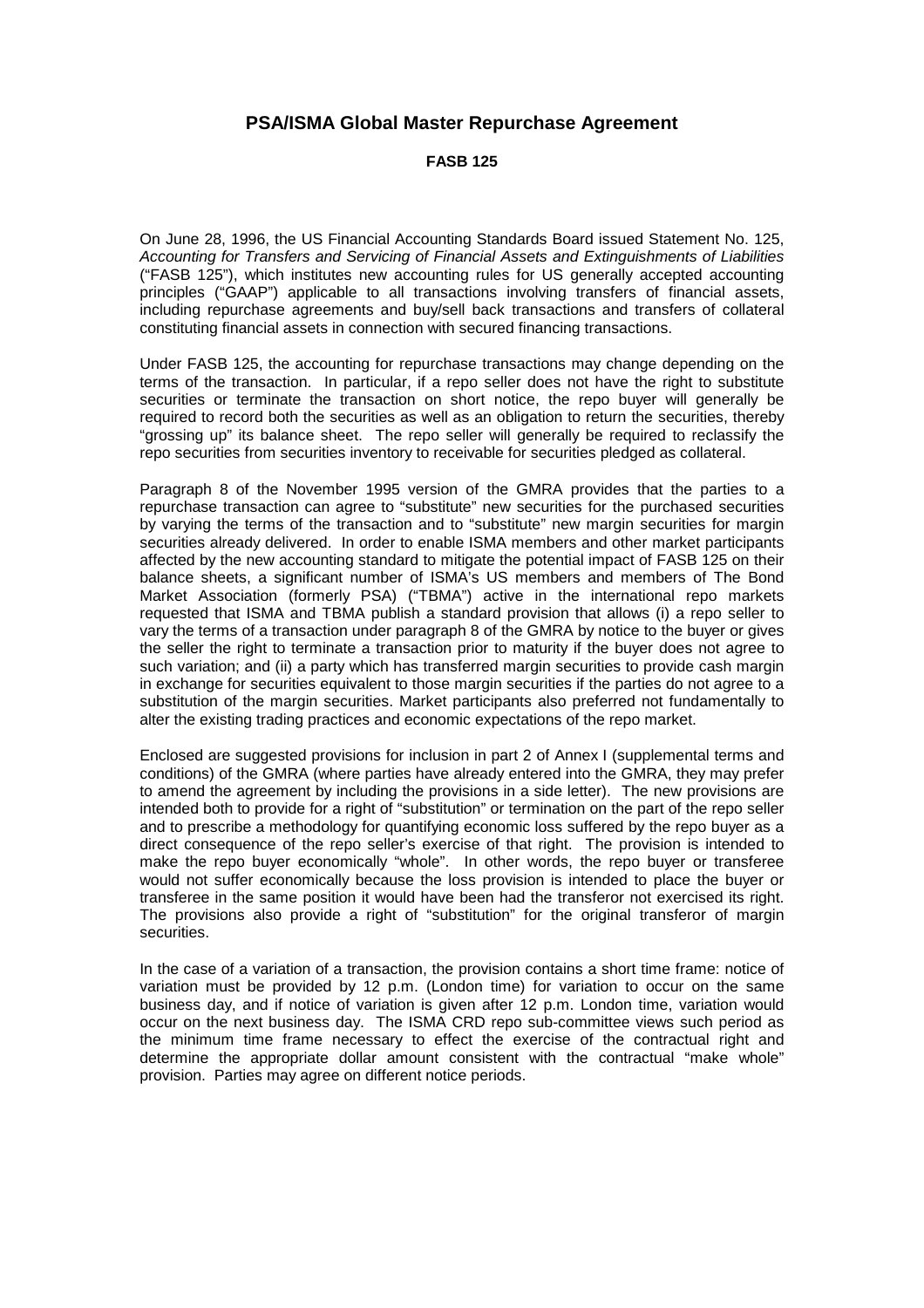## **PSA/ISMA Global Master Repurchase Agreement**

**FASB 125**

On June 28, 1996, the US Financial Accounting Standards Board issued Statement No. 125, *Accounting for Transfers and Servicing of Financial Assets and Extinguishments of Liabilities* ("FASB 125"), which institutes new accounting rules for US generally accepted accounting principles ("GAAP") applicable to all transactions involving transfers of financial assets, including repurchase agreements and buy/sell back transactions and transfers of collateral constituting financial assets in connection with secured financing transactions.

Under FASB 125, the accounting for repurchase transactions may change depending on the terms of the transaction. In particular, if a repo seller does not have the right to substitute securities or terminate the transaction on short notice, the repo buyer will generally be required to record both the securities as well as an obligation to return the securities, thereby "grossing up" its balance sheet. The repo seller will generally be required to reclassify the repo securities from securities inventory to receivable for securities pledged as collateral.

Paragraph 8 of the November 1995 version of the GMRA provides that the parties to a repurchase transaction can agree to "substitute" new securities for the purchased securities by varying the terms of the transaction and to "substitute" new margin securities for margin securities already delivered. In order to enable ISMA members and other market participants affected by the new accounting standard to mitigate the potential impact of FASB 125 on their balance sheets, a significant number of ISMA's US members and members of The Bond Market Association (formerly PSA) ("TBMA") active in the international repo markets requested that ISMA and TBMA publish a standard provision that allows (i) a repo seller to vary the terms of a transaction under paragraph 8 of the GMRA by notice to the buyer or gives the seller the right to terminate a transaction prior to maturity if the buyer does not agree to such variation; and (ii) a party which has transferred margin securities to provide cash margin in exchange for securities equivalent to those margin securities if the parties do not agree to a substitution of the margin securities. Market participants also preferred not fundamentally to alter the existing trading practices and economic expectations of the repo market.

Enclosed are suggested provisions for inclusion in part 2 of Annex I (supplemental terms and conditions) of the GMRA (where parties have already entered into the GMRA, they may prefer to amend the agreement by including the provisions in a side letter). The new provisions are intended both to provide for a right of "substitution" or termination on the part of the repo seller and to prescribe a methodology for quantifying economic loss suffered by the repo buyer as a direct consequence of the repo seller's exercise of that right. The provision is intended to make the repo buyer economically "whole". In other words, the repo buyer or transferee would not suffer economically because the loss provision is intended to place the buyer or transferee in the same position it would have been had the transferor not exercised its right. The provisions also provide a right of "substitution" for the original transferor of margin securities.

In the case of a variation of a transaction, the provision contains a short time frame: notice of variation must be provided by 12 p.m. (London time) for variation to occur on the same business day, and if notice of variation is given after 12 p.m. London time, variation would occur on the next business day. The ISMA CRD repo sub-committee views such period as the minimum time frame necessary to effect the exercise of the contractual right and determine the appropriate dollar amount consistent with the contractual "make whole" provision. Parties may agree on different notice periods.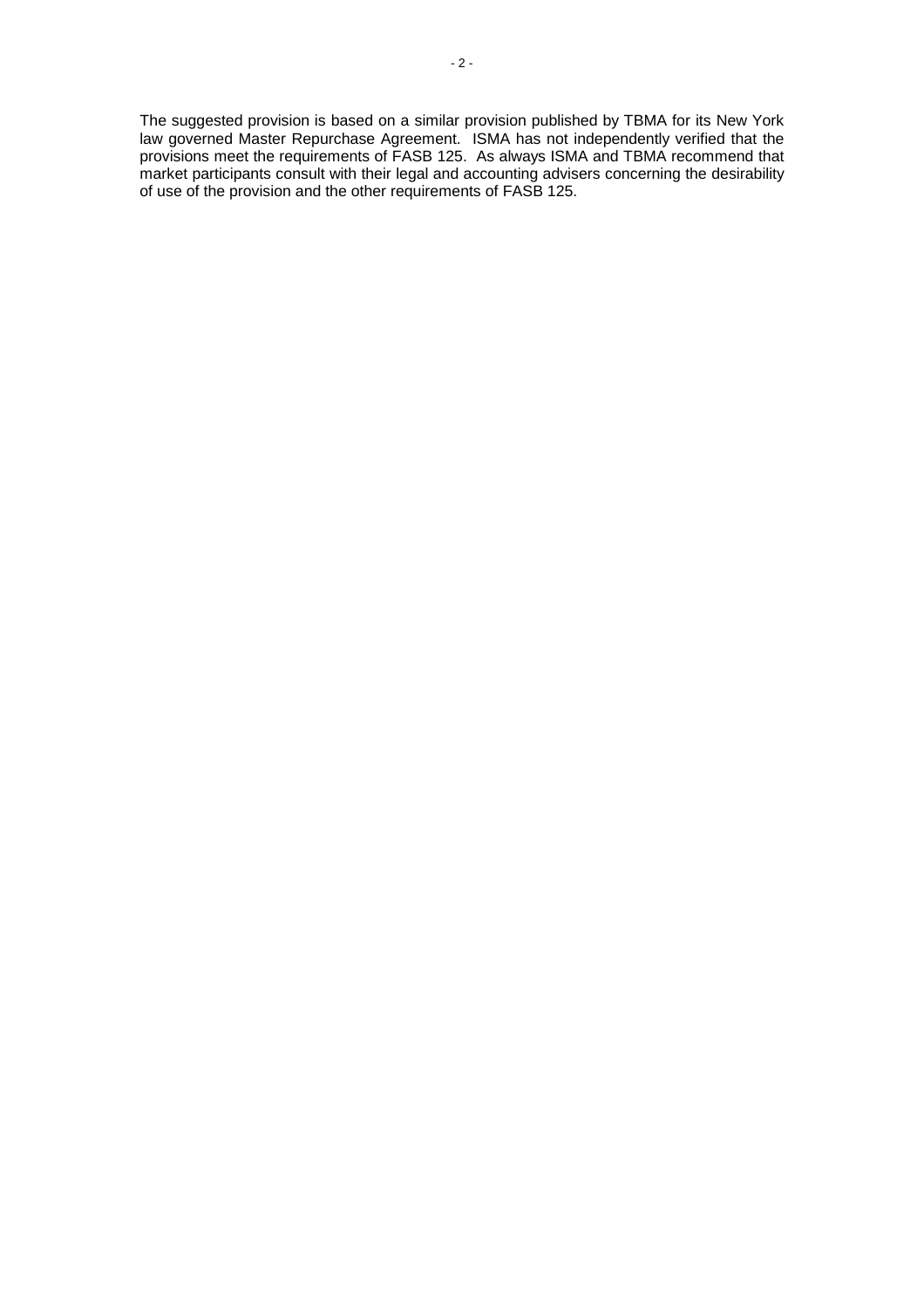The suggested provision is based on a similar provision published by TBMA for its New York law governed Master Repurchase Agreement. ISMA has not independently verified that the provisions meet the requirements of FASB 125. As always ISMA and TBMA recommend that market participants consult with their legal and accounting advisers concerning the desirability of use of the provision and the other requirements of FASB 125.